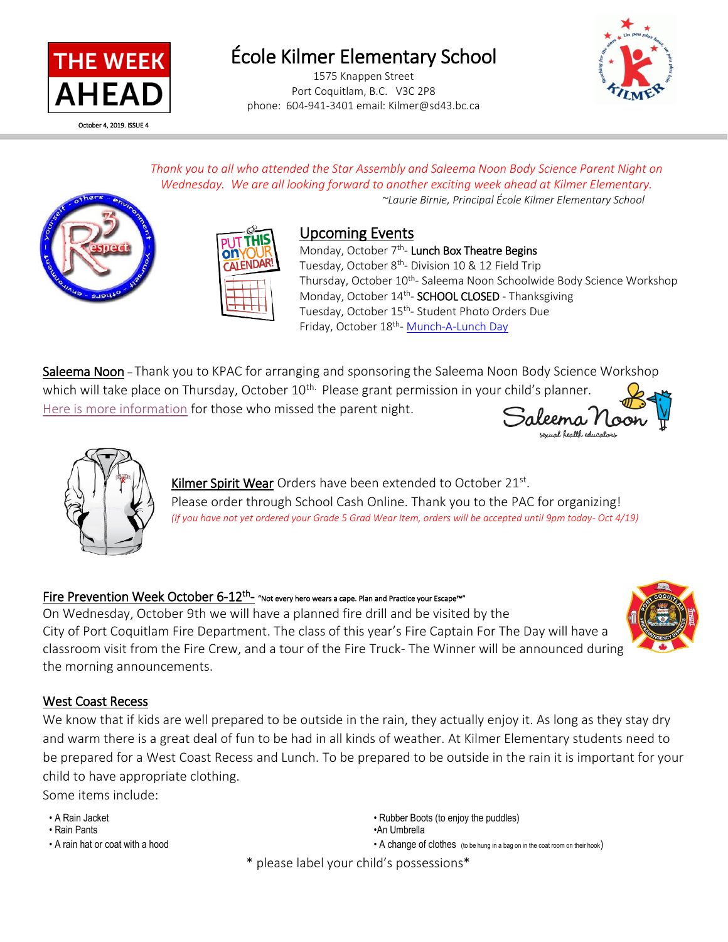

# École Kilmer Elementary School

1575 Knappen Street Port Coquitlam, B.C. V3C 2P8 phone: 604-941-3401 email: Kilmer@sd43.bc.ca



*Thank you to all who attended the Star Assembly and Saleema Noon Body Science Parent Night on Wednesday. We are all looking forward to another exciting week ahead at Kilmer Elementary. ~Laurie Birnie, Principal École Kilmer Elementary School*



l



## Upcoming Events

Monday, October 7<sup>th</sup>- Lunch Box Theatre Begins Tuesday, October 8<sup>th</sup>- Division 10 & 12 Field Trip Thursday, October 10<sup>th</sup>- Saleema Noon Schoolwide Body Science Workshop Monday, October 14<sup>th</sup>- **SCHOOL CLOSED** - Thanksgiving Tuesday, October 15<sup>th</sup>- Student Photo Orders Due Friday, October 18<sup>th</sup>- Munch-A-Lunch Day

Saleema Noon - Thank you to KPAC for arranging and sponsoring the Saleema Noon Body Science Workshop which will take place on Thursday, October 10<sup>th.</sup> Please grant permission in your child's planner. [Here is more information](http://www.sd43.bc.ca/school/kilmer/Documents/2019-2020%20Saleema%20Noon%20Parent%20Night.pdf) for those who missed the parent night.





Kilmer Spirit Wear Orders have been extended to October 21st. Please order through School Cash Online. Thank you to the PAC for organizing! *(If you have not yet ordered your Grade 5 Grad Wear Item, orders will be accepted until 9pm today- Oct 4/19)*

### Fire Prevention Week October 6-12<sup>th</sup>- "Not every hero wears a cape. Plan and Practice your Escape™"

On Wednesday, October 9th we will have a planned fire drill and be visited by the City of Port Coquitlam Fire Department. The class of this year's Fire Captain For The Day will have a classroom visit from the Fire Crew, and a tour of the Fire Truck- The Winner will be announced during the morning announcements.



### West Coast Recess

We know that if kids are well prepared to be outside in the rain, they actually enjoy it. As long as they stay dry and warm there is a great deal of fun to be had in all kinds of weather. At Kilmer Elementary students need to be prepared for a West Coast Recess and Lunch. To be prepared to be outside in the rain it is important for your child to have appropriate clothing.

Some items include:

- 
- 

• A Rain Jacket • **A Rain Jacket** • Rubber Boots (to enjoy the puddles) • Rubber Boots (to enjoy the puddles) • Rain Pants •An Umbrella • A rain hat or coat with a hood **• A change of clothes** (to be hung in a bag on in the coat room on their hook)

\* please label your child's possessions\*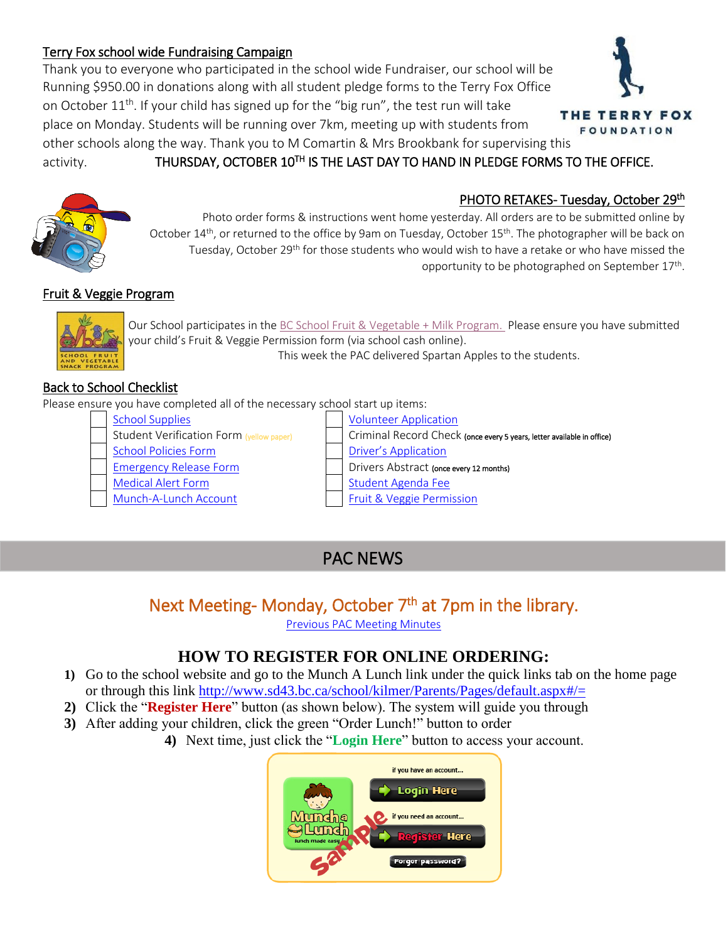### Terry Fox school wide Fundraising Campaign

Thank you to everyone who participated in the school wide Fundraiser, our school will be Running \$950.00 in donations along with all student pledge forms to the Terry Fox Office on October  $11<sup>th</sup>$ . If your child has signed up for the "big run", the test run will take place on Monday. Students will be running over 7km, meeting up with students from other schools along the way. Thank you to M Comartin & Mrs Brookbank for supervising this

# activity. **THURSDAY, OCTOBER 10<sup>TH</sup> IS THE LAST DAY TO HAND IN PLEDGE FORMS TO THE OFFICE.**



Photo order forms & instructions went home yesterday. All orders are to be submitted online by October 14<sup>th</sup>, or returned to the office by 9am on Tuesday, October 15<sup>th</sup>. The photographer will be back on Tuesday, October 29<sup>th</sup> for those students who would wish to have a retake or who have missed the opportunity to be photographed on September 17<sup>th</sup>.

## Fruit & Veggie Program



Our School participates in the [BC School Fruit & Vegetable](https://www.bcaitc.ca/bc-school-fruit-vegetable-nutritional-program) + Milk Program. Please ensure you have submitted your child's Fruit & Veggie Permission form (via school cash online). This week the PAC delivered Spartan Apples to the students.

## Back to School Checklist

Please ensure you have completed all of the necessary school start up items:

- [School Supplies](http://www.sd43.bc.ca/school/kilmer/Parents/SchoolSupplies/Pages/default.aspx#/=) [Volunteer Application](https://www.schoolcashonline.com/)
- 
- 
- 
- [Medical Alert Form](http://www.sd43.bc.ca/Resources/eforms/MApdf/MedicalAlertForm.pdf) [Student Agenda Fee](https://www.schoolcashonline.com/)
- [Munch-A-Lunch Account](http://www.sd43.bc.ca/school/kilmer/Parents/Pages/default.aspx#/=) [Fruit & Veggie Permission](https://www.schoolcashonline.com/)

Student Verification Form (yellow paper) | Criminal Record Check (once every 5 years, letter available in office) [School Policies Form](https://www.schoolcashonline.com/) **[Driver's Application](https://www.schoolcashonline.com/)** [Emergency Release Form](http://www.sd43.bc.ca/Resources/eforms/Type1Diabetes/EmergencyRelease.pdf) **Drivers** Drivers Abstract (once every 12 months)

# PAC NEWS

## Next Meeting- Monday, October 7<sup>th</sup> at 7pm in the library.

[Previous PAC Meeting Minutes](http://www.sd43.bc.ca/school/kilmer/Parents/PAC/PAC%20Agendas%20%20Minutes/KPAC%20minutes%20September%2016%202019.pdf)

## **HOW TO REGISTER FOR ONLINE ORDERING:**

- **1)** Go to the school website and go to the Munch A Lunch link under the quick links tab on the home page or through this link<http://www.sd43.bc.ca/school/kilmer/Parents/Pages/default.aspx#/=>
- **2)** Click the "**Register Here**" button (as shown below). The system will guide you through
- **3)** After adding your children, click the green "Order Lunch!" button to order
	- **4)** Next time, just click the "**Login Here**" button to access your account.





#### PHOTO RETAKES- Tuesday, October 29<sup>th</sup>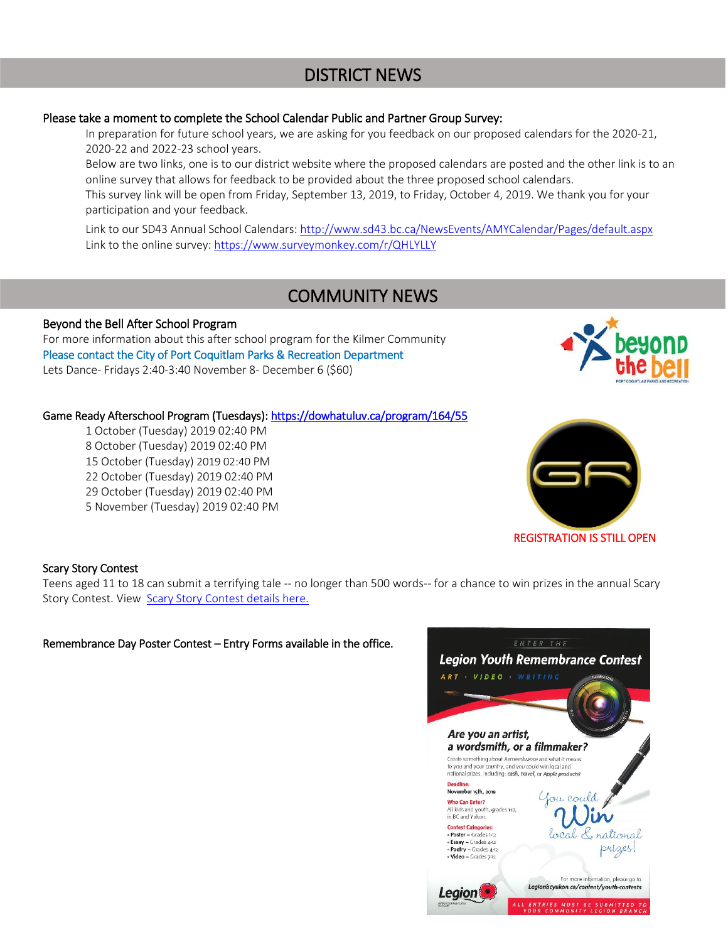## DISTRICT NEWS

#### Please take a moment to complete the School Calendar Public and Partner Group Survey:

In preparation for future school years, we are asking for you feedback on our proposed calendars for the 2020-21, 2020-22 and 2022-23 school years.

Below are two links, one is to our district website where the proposed calendars are posted and the other link is to an online survey that allows for feedback to be provided about the three proposed school calendars. This survey link will be open from Friday, September 13, 2019, to Friday, October 4, 2019. We thank you for your participation and your feedback.

Link to our SD43 Annual School Calendars[: http://www.sd43.bc.ca/NewsEvents/AMYCalendar/Pages/default.aspx](http://www.sd43.bc.ca/NewsEvents/AMYCalendar/Pages/default.aspx) Link to the online survey:<https://www.surveymonkey.com/r/QHLYLLY>

## COMMUNITY NEWS

#### Beyond the Bell After School Program

For more information about this after school program for the Kilmer Community Please contact the City of Port Coquitlam Parks & Recreation Department Lets Dance- Fridays 2:40-3:40 November 8- December 6 (\$60)

#### Game Ready Afterschool Program (Tuesdays):<https://dowhatuluv.ca/program/164/55>

1 October (Tuesday) 2019 02:40 PM 8 October (Tuesday) 2019 02:40 PM 15 October (Tuesday) 2019 02:40 PM 22 October (Tuesday) 2019 02:40 PM 29 October (Tuesday) 2019 02:40 PM 5 November (Tuesday) 2019 02:40 PM



#### RE[GISTRATION IS STILL OPE](https://dowhatuluv.ca/program/164/55)N

#### Scary Story Contest

Teens aged 11 to 18 can submit a terrifying tale -- no longer than 500 words-- for a chance to win prizes in the annual Scary Story Contest. View [Scary Story Contest details here.](/Departments/CommunityRelations/cid/PublishingImages/default/Scary%20Story%20Contest.docx)

Remembrance Day Poster Contest – Entry Forms available in the office.